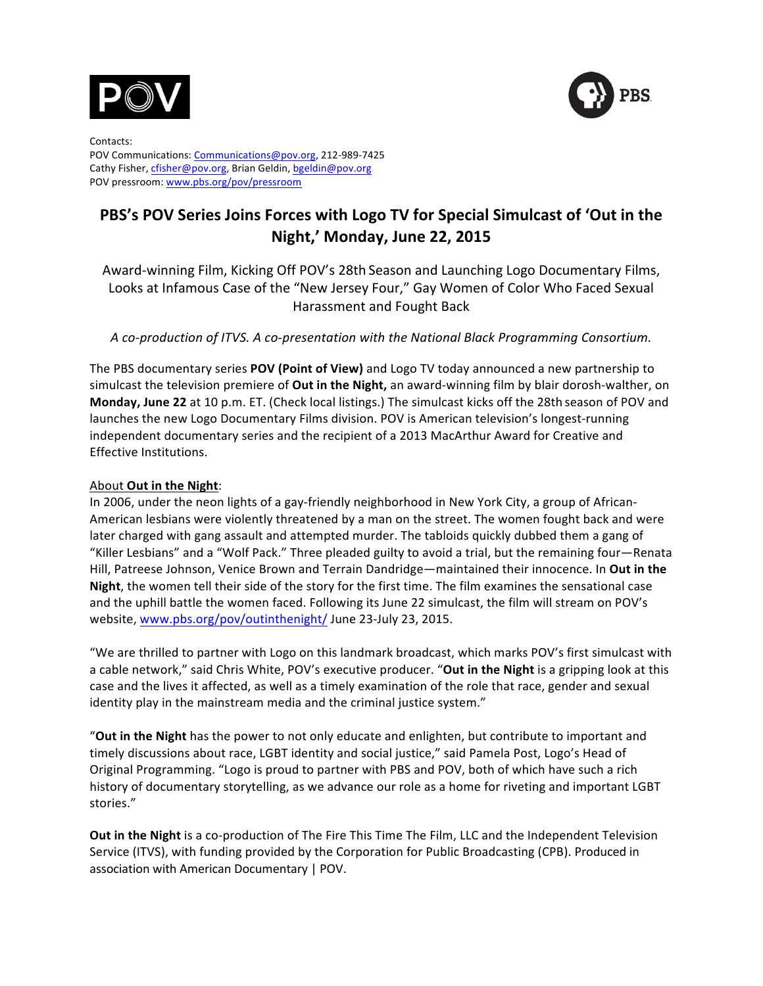



Contacts: POV Communications: Communications@pov.org, 212-989-7425 Cathy Fisher, cfisher@pov.org, Brian Geldin, bgeldin@pov.org POV pressroom: www.pbs.org/pov/pressroom

# **PBS's POV Series Joins Forces with Logo TV for Special Simulcast of 'Out in the Night,' Monday, June 22, 2015**

Award-winning Film, Kicking Off POV's 28th Season and Launching Logo Documentary Films, Looks at Infamous Case of the "New Jersey Four," Gay Women of Color Who Faced Sexual Harassment and Fought Back

## A co-production of *ITVS.* A co-presentation with the National Black Programming Consortium.

The PBS documentary series **POV (Point of View)** and Logo TV today announced a new partnership to simulcast the television premiere of Out in the Night, an award-winning film by blair dorosh-walther, on **Monday, June 22** at 10 p.m. ET. (Check local listings.) The simulcast kicks off the 28th season of POV and launches the new Logo Documentary Films division. POV is American television's longest-running independent documentary series and the recipient of a 2013 MacArthur Award for Creative and Effective Institutions.

## About Out in the Night:

In 2006, under the neon lights of a gay-friendly neighborhood in New York City, a group of African-American lesbians were violently threatened by a man on the street. The women fought back and were later charged with gang assault and attempted murder. The tabloids quickly dubbed them a gang of "Killer Lesbians" and a "Wolf Pack." Three pleaded guilty to avoid a trial, but the remaining four—Renata Hill, Patreese Johnson, Venice Brown and Terrain Dandridge—maintained their innocence. In Out in the **Night**, the women tell their side of the story for the first time. The film examines the sensational case and the uphill battle the women faced. Following its June 22 simulcast, the film will stream on POV's website, www.pbs.org/pov/outinthenight/ June 23-July 23, 2015.

"We are thrilled to partner with Logo on this landmark broadcast, which marks POV's first simulcast with a cable network," said Chris White, POV's executive producer. "Out in the Night is a gripping look at this case and the lives it affected, as well as a timely examination of the role that race, gender and sexual identity play in the mainstream media and the criminal justice system."

"Out in the Night has the power to not only educate and enlighten, but contribute to important and timely discussions about race, LGBT identity and social justice," said Pamela Post, Logo's Head of Original Programming. "Logo is proud to partner with PBS and POV, both of which have such a rich history of documentary storytelling, as we advance our role as a home for riveting and important LGBT stories."

**Out in the Night** is a co-production of The Fire This Time The Film, LLC and the Independent Television Service (ITVS), with funding provided by the Corporation for Public Broadcasting (CPB). Produced in association with American Documentary | POV.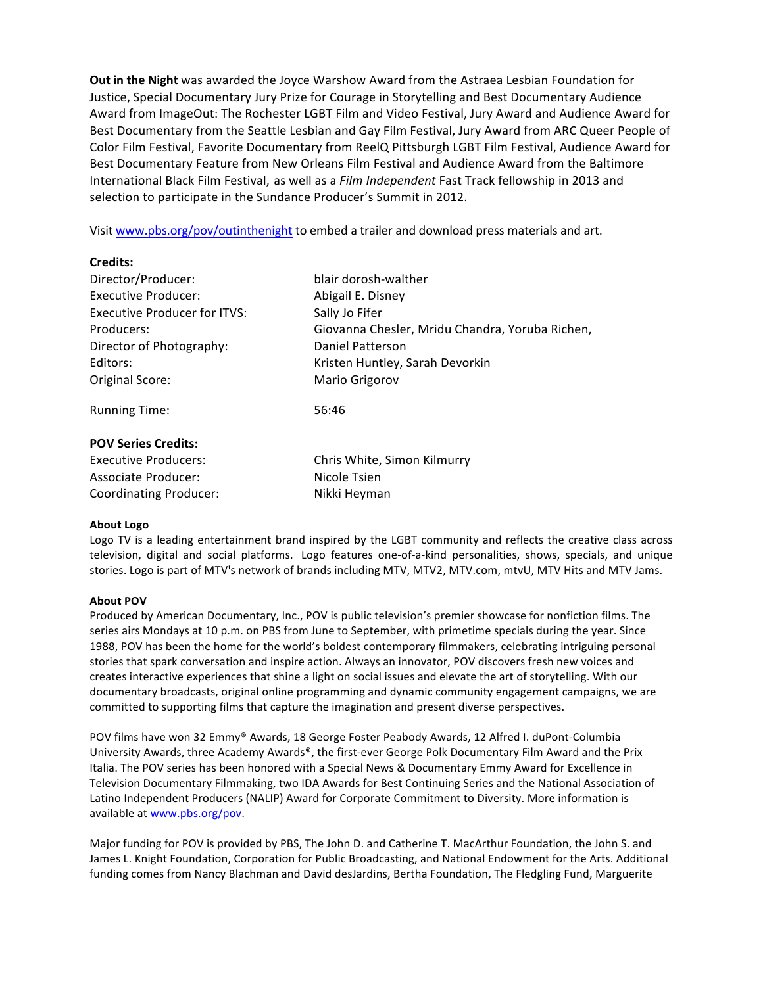**Out in the Night** was awarded the Joyce Warshow Award from the Astraea Lesbian Foundation for Justice, Special Documentary Jury Prize for Courage in Storytelling and Best Documentary Audience Award from ImageOut: The Rochester LGBT Film and Video Festival, Jury Award and Audience Award for Best Documentary from the Seattle Lesbian and Gay Film Festival, Jury Award from ARC Queer People of Color Film Festival, Favorite Documentary from ReelQ Pittsburgh LGBT Film Festival, Audience Award for Best Documentary Feature from New Orleans Film Festival and Audience Award from the Baltimore International Black Film Festival, as well as a *Film Independent* Fast Track fellowship in 2013 and selection to participate in the Sundance Producer's Summit in 2012.

Visit www.pbs.org/pov/outinthenight to embed a trailer and download press materials and art.

## **Credits:**

| Director/Producer:                  | blair dorosh-walther                            |
|-------------------------------------|-------------------------------------------------|
| <b>Executive Producer:</b>          | Abigail E. Disney                               |
| <b>Executive Producer for ITVS:</b> | Sally Jo Fifer                                  |
| Producers:                          | Giovanna Chesler, Mridu Chandra, Yoruba Richen, |
| Director of Photography:            | Daniel Patterson                                |
| Editors:                            | Kristen Huntley, Sarah Devorkin                 |
| Original Score:                     | Mario Grigorov                                  |
| <b>Running Time:</b>                | 56:46                                           |
| <b>POV Series Credits:</b>          |                                                 |
| <b>Executive Producers:</b>         | Chris White, Simon Kilmurry                     |
| Associate Producer:                 | Nicole Tsien                                    |

Coordinating Producer: Nikki Heyman

#### **About Logo**

Logo TV is a leading entertainment brand inspired by the LGBT community and reflects the creative class across television, digital and social platforms. Logo features one-of-a-kind personalities, shows, specials, and unique stories. Logo is part of MTV's network of brands including MTV, MTV2, MTV.com, mtvU, MTV Hits and MTV Jams.

#### **About POV**

Produced by American Documentary, Inc., POV is public television's premier showcase for nonfiction films. The series airs Mondays at 10 p.m. on PBS from June to September, with primetime specials during the year. Since 1988, POV has been the home for the world's boldest contemporary filmmakers, celebrating intriguing personal stories that spark conversation and inspire action. Always an innovator, POV discovers fresh new voices and creates interactive experiences that shine a light on social issues and elevate the art of storytelling. With our documentary broadcasts, original online programming and dynamic community engagement campaigns, we are committed to supporting films that capture the imagination and present diverse perspectives.

POV films have won 32 Emmy® Awards, 18 George Foster Peabody Awards, 12 Alfred I. duPont-Columbia University Awards, three Academy Awards®, the first-ever George Polk Documentary Film Award and the Prix Italia. The POV series has been honored with a Special News & Documentary Emmy Award for Excellence in Television Documentary Filmmaking, two IDA Awards for Best Continuing Series and the National Association of Latino Independent Producers (NALIP) Award for Corporate Commitment to Diversity. More information is available at www.pbs.org/pov.

Major funding for POV is provided by PBS, The John D. and Catherine T. MacArthur Foundation, the John S. and James L. Knight Foundation, Corporation for Public Broadcasting, and National Endowment for the Arts. Additional funding comes from Nancy Blachman and David desJardins, Bertha Foundation, The Fledgling Fund, Marguerite